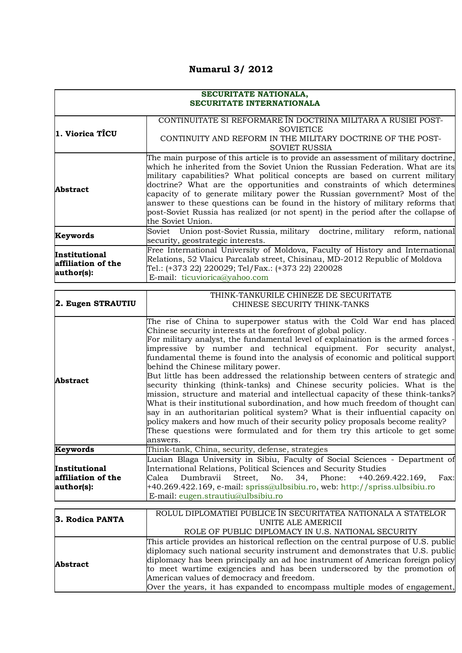## **Numarul 3/ 2012**

## **SECURITATE NATIONALA, SECURITATE INTERNATIONALA**

| 1. Viorica TICU                                          | CONTINUITATE SI REFORMARE ÎN DOCTRINA MILITARA A RUSIEI POST-<br><b>SOVIETICE</b><br>CONTINUITY AND REFORM IN THE MILITARY DOCTRINE OF THE POST-<br><b>SOVIET RUSSIA</b>                                                                                                                                                                                                                                                                                                                                                                                                                                   |
|----------------------------------------------------------|------------------------------------------------------------------------------------------------------------------------------------------------------------------------------------------------------------------------------------------------------------------------------------------------------------------------------------------------------------------------------------------------------------------------------------------------------------------------------------------------------------------------------------------------------------------------------------------------------------|
| <b>Abstract</b>                                          | The main purpose of this article is to provide an assessment of military doctrine,<br>which he inherited from the Soviet Union the Russian Federation. What are its<br>military capabilities? What political concepts are based on current military<br>doctrine? What are the opportunities and constraints of which determines<br>capacity of to generate military power the Russian government? Most of the<br>answer to these questions can be found in the history of military reforms that<br>post-Soviet Russia has realized (or not spent) in the period after the collapse of<br>the Soviet Union. |
| Keywords                                                 | Soviet Union post-Soviet Russia, military doctrine, military reform, national<br>security, geostrategic interests.                                                                                                                                                                                                                                                                                                                                                                                                                                                                                         |
| <b>Institutional</b><br>affiliation of the<br>author(s): | Free International University of Moldova, Faculty of History and International<br>Relations, 52 Vlaicu Parcalab street, Chisinau, MD-2012 Republic of Moldova<br>Tel.: (+373 22) 220029; Tel/Fax.: (+373 22) 220028<br>E-mail: ticuviorica@yahoo.com                                                                                                                                                                                                                                                                                                                                                       |

| 2. Eugen STRAUTIU                                 | THINK-TANKURILE CHINEZE DE SECURITATE<br>CHINESE SECURITY THINK-TANKS                                                                                                                                                                                                                                                                                                                                                                                                                                                                                                                                                                                                                                                                                                                                                                                                                                                                                                                                                            |
|---------------------------------------------------|----------------------------------------------------------------------------------------------------------------------------------------------------------------------------------------------------------------------------------------------------------------------------------------------------------------------------------------------------------------------------------------------------------------------------------------------------------------------------------------------------------------------------------------------------------------------------------------------------------------------------------------------------------------------------------------------------------------------------------------------------------------------------------------------------------------------------------------------------------------------------------------------------------------------------------------------------------------------------------------------------------------------------------|
| <b>Abstract</b>                                   | The rise of China to superpower status with the Cold War end has placed<br>Chinese security interests at the forefront of global policy.<br>For military analyst, the fundamental level of explaination is the armed forces -<br>impressive by number and technical equipment. For security analyst,<br>fundamental theme is found into the analysis of economic and political support<br>behind the Chinese military power.<br>But little has been addressed the relationship between centers of strategic and<br>security thinking (think-tanks) and Chinese security policies. What is the<br>mission, structure and material and intellectual capacity of these think-tanks?<br>What is their institutional subordination, and how much freedom of thought can<br>say in an authoritarian political system? What is their influential capacity on<br>policy makers and how much of their security policy proposals become reality?<br>These questions were formulated and for them try this articole to get some<br>answers. |
| Keywords                                          | Think-tank, China, security, defense, strategies                                                                                                                                                                                                                                                                                                                                                                                                                                                                                                                                                                                                                                                                                                                                                                                                                                                                                                                                                                                 |
| Institutional<br>affiliation of the<br>author(s): | Lucian Blaga University in Sibiu, Faculty of Social Sciences - Department of<br>International Relations, Political Sciences and Security Studies<br>Calea Dumbravii Street, No. 34, Phone: +40.269.422.169,<br>Fax:<br>$+40.269.422.169$ , e-mail: spriss@ulbsibiu.ro, web: http://spriss.ulbsibiu.ro<br>E-mail: eugen.strautiu@ulbsibiu.ro                                                                                                                                                                                                                                                                                                                                                                                                                                                                                                                                                                                                                                                                                      |

| 3. Rodica PANTA | ROLUL DIPLOMATIEI PUBLICE ÎN SECURITATEA NATIONALA A STATELOR                        |
|-----------------|--------------------------------------------------------------------------------------|
|                 | UNITE ALE AMERICII                                                                   |
|                 | ROLE OF PUBLIC DIPLOMACY IN U.S. NATIONAL SECURITY                                   |
| <b>Abstract</b> | This article provides an historical reflection on the central purpose of U.S. public |
|                 | diplomacy such national security instrument and demonstrates that U.S. public        |
|                 | diplomacy has been principally an ad hoc instrument of American foreign policy       |
|                 | to meet wartime exigencies and has been underscored by the promotion of              |
|                 | American values of democracy and freedom.                                            |
|                 | Over the years, it has expanded to encompass multiple modes of engagement,           |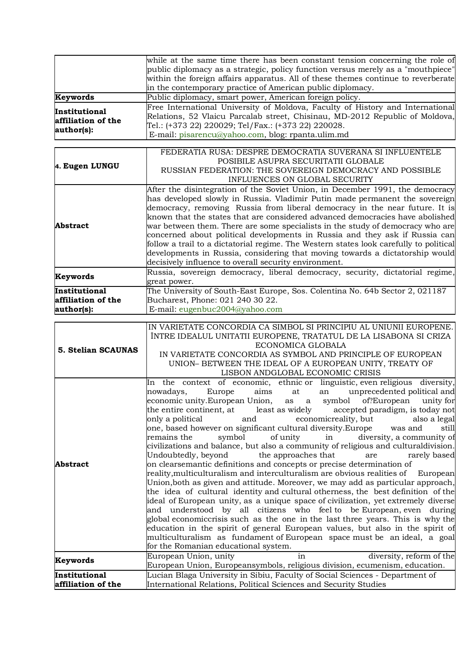| Keywords<br>Institutional<br>affiliation of the   | while at the same time there has been constant tension concerning the role of<br>public diplomacy as a strategic, policy function versus merely as a "mouthpiece"<br>within the foreign affairs apparatus. All of these themes continue to reverberate<br>in the contemporary practice of American public diplomacy.<br>Public diplomacy, smart power, American foreign policy.<br>Free International University of Moldova, Faculty of History and International<br>Relations, 52 Vlaicu Parcalab street, Chisinau, MD-2012 Republic of Moldova,<br>Tel.: (+373 22) 220029; Tel/Fax.: (+373 22) 220028.                                                                                                                                                                                                                                                                                                                                                                                                                                                                                                                                                                                                                                                                                                                                                                                                                                                                                    |
|---------------------------------------------------|---------------------------------------------------------------------------------------------------------------------------------------------------------------------------------------------------------------------------------------------------------------------------------------------------------------------------------------------------------------------------------------------------------------------------------------------------------------------------------------------------------------------------------------------------------------------------------------------------------------------------------------------------------------------------------------------------------------------------------------------------------------------------------------------------------------------------------------------------------------------------------------------------------------------------------------------------------------------------------------------------------------------------------------------------------------------------------------------------------------------------------------------------------------------------------------------------------------------------------------------------------------------------------------------------------------------------------------------------------------------------------------------------------------------------------------------------------------------------------------------|
| author(s):                                        | E-mail: pisarencu@yahoo.com, blog: rpanta.ulim.md                                                                                                                                                                                                                                                                                                                                                                                                                                                                                                                                                                                                                                                                                                                                                                                                                                                                                                                                                                                                                                                                                                                                                                                                                                                                                                                                                                                                                                           |
| 4. Eugen LUNGU                                    | FEDERATIA RUSA: DESPRE DEMOCRATIA SUVERANA SI INFLUENTELE<br>POSIBILE ASUPRA SECURITATII GLOBALE<br>RUSSIAN FEDERATION: THE SOVEREIGN DEMOCRACY AND POSSIBLE<br>INFLUENCES ON GLOBAL SECURITY                                                                                                                                                                                                                                                                                                                                                                                                                                                                                                                                                                                                                                                                                                                                                                                                                                                                                                                                                                                                                                                                                                                                                                                                                                                                                               |
| <b>Abstract</b>                                   | After the disintegration of the Soviet Union, in December 1991, the democracy<br>has developed slowly in Russia. Vladimir Putin made permanent the sovereign<br>democracy, removing Russia from liberal democracy in the near future. It is<br>known that the states that are considered advanced democracies have abolished<br>war between them. There are some specialists in the study of democracy who are<br>concerned about political developments in Russia and they ask if Russia can<br>follow a trail to a dictatorial regime. The Western states look carefully to political<br>developments in Russia, considering that moving towards a dictatorship would<br>decisively influence to overall security environment.                                                                                                                                                                                                                                                                                                                                                                                                                                                                                                                                                                                                                                                                                                                                                            |
| Keywords                                          | Russia, sovereign democracy, liberal democracy, security, dictatorial regime,<br>great power.                                                                                                                                                                                                                                                                                                                                                                                                                                                                                                                                                                                                                                                                                                                                                                                                                                                                                                                                                                                                                                                                                                                                                                                                                                                                                                                                                                                               |
| Institutional<br>affiliation of the<br>author(s): | The University of South-East Europe, Sos. Colentina No. 64b Sector 2, 021187<br>Bucharest, Phone: 021 240 30 22.<br>E-mail: eugenbuc2004@yahoo.com                                                                                                                                                                                                                                                                                                                                                                                                                                                                                                                                                                                                                                                                                                                                                                                                                                                                                                                                                                                                                                                                                                                                                                                                                                                                                                                                          |
| 5. Stelian SCAUNAS                                | IN VARIETATE CONCORDIA CA SIMBOL SI PRINCIPIU AL UNIUNII EUROPENE.<br>ÎNTRE IDEALUL UNITATII EUROPENE, TRATATUL DE LA LISABONA SI CRIZA<br>ECONOMICA GLOBALA<br>IN VARIETATE CONCORDIA AS SYMBOL AND PRINCIPLE OF EUROPEAN<br>UNION- BETWEEN THE IDEAL OF A EUROPEAN UNITY, TREATY OF<br>LISBON ANDGLOBAL ECONOMIC CRISIS                                                                                                                                                                                                                                                                                                                                                                                                                                                                                                                                                                                                                                                                                                                                                                                                                                                                                                                                                                                                                                                                                                                                                                   |
| <b>Abstract</b>                                   | In the context of economic, ethnic or linguistic, even religious diversity,<br>an unprecedented political and<br>Europe<br>aims<br>at<br>nowadays,<br>economic unity.European Union, as a symbol of?European unity for<br>the entire continent, at<br>least as widely<br>accepted paradigm, is today not<br>economicreality, but<br>only a political<br>and<br>also a legal<br>one, based however on significant cultural diversity.Europe<br>was and<br>still<br>diversity, a community of<br>of unity<br>remains the<br>symbol<br>in<br>civilizations and balance, but also a community of religious and culturaldivision.<br>the approaches that<br>Undoubtedly, beyond<br>are<br>rarely based<br>on clearsemantic definitions and concepts or precise determination of<br>reality, multiculturalism and interculturalism are obvious realities of<br>European<br>Union, both as given and attitude. Moreover, we may add as particular approach,<br>the idea of cultural identity and cultural otherness, the best definition of the<br>ideal of European unity, as a unique space of civilization, yet extremely diverse<br>and understood by all citizens who feel-to be-European, even during<br>global economiccrisis such as the one in the last three years. This is why the<br>education in the spirit of general European values, but also in the spirit of<br>multiculturalism as fundament of European space must be an ideal, a goal<br>for the Romanian educational system. |
| Keywords                                          | European Union, unity<br>diversity, reform of the<br>in<br>European Union, Europeansymbols, religious division, ecumenism, education.                                                                                                                                                                                                                                                                                                                                                                                                                                                                                                                                                                                                                                                                                                                                                                                                                                                                                                                                                                                                                                                                                                                                                                                                                                                                                                                                                       |
| Institutional<br>affiliation of the               | Lucian Blaga University in Sibiu, Faculty of Social Sciences - Department of<br>International Relations, Political Sciences and Security Studies                                                                                                                                                                                                                                                                                                                                                                                                                                                                                                                                                                                                                                                                                                                                                                                                                                                                                                                                                                                                                                                                                                                                                                                                                                                                                                                                            |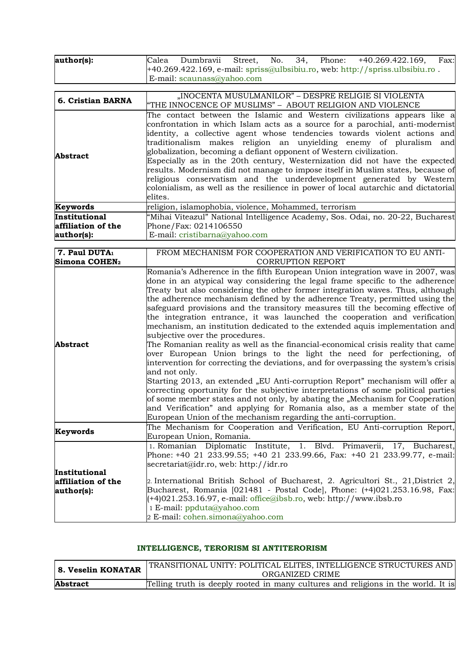| author(s):                                        | No.<br>34,<br>Dumbravii<br>Street,<br>Phone: +40.269.422.169,<br>Calea<br>Fax:<br>+40.269.422.169, e-mail: spriss@ulbsibiu.ro, web: http://spriss.ulbsibiu.ro.                                                                                                                                                                                                                                                                                                                                                                                                                                                                                                                                                                                                                                                                                                                                                                                                                                                                                                                                                                                                                                                                                                                                     |
|---------------------------------------------------|----------------------------------------------------------------------------------------------------------------------------------------------------------------------------------------------------------------------------------------------------------------------------------------------------------------------------------------------------------------------------------------------------------------------------------------------------------------------------------------------------------------------------------------------------------------------------------------------------------------------------------------------------------------------------------------------------------------------------------------------------------------------------------------------------------------------------------------------------------------------------------------------------------------------------------------------------------------------------------------------------------------------------------------------------------------------------------------------------------------------------------------------------------------------------------------------------------------------------------------------------------------------------------------------------|
|                                                   | E-mail: scaunass@yahoo.com                                                                                                                                                                                                                                                                                                                                                                                                                                                                                                                                                                                                                                                                                                                                                                                                                                                                                                                                                                                                                                                                                                                                                                                                                                                                         |
|                                                   |                                                                                                                                                                                                                                                                                                                                                                                                                                                                                                                                                                                                                                                                                                                                                                                                                                                                                                                                                                                                                                                                                                                                                                                                                                                                                                    |
| 6. Cristian BARNA                                 | "INOCENTA MUSULMANILOR" – DESPRE RELIGIE SI VIOLENTA<br>"THE INNOCENCE OF MUSLIMS" - ABOUT RELIGION AND VIOLENCE                                                                                                                                                                                                                                                                                                                                                                                                                                                                                                                                                                                                                                                                                                                                                                                                                                                                                                                                                                                                                                                                                                                                                                                   |
| <b>Abstract</b>                                   | The contact between the Islamic and Western civilizations appears like a<br>confrontation in which Islam acts as a source for a parochial, anti-modernist<br>identity, a collective agent whose tendencies towards violent actions and<br>traditionalism makes religion an unyielding enemy of pluralism<br>and<br>globalization, becoming a defiant opponent of Western civilization.<br>Especially as in the 20th century, Westernization did not have the expected<br>results. Modernism did not manage to impose itself in Muslim states, because of<br>religious conservatism and the underdevelopment generated by Western<br>colonialism, as well as the resilience in power of local autarchic and dictatorial<br>elites.                                                                                                                                                                                                                                                                                                                                                                                                                                                                                                                                                                  |
| Keywords                                          | religion, islamophobia, violence, Mohammed, terrorism                                                                                                                                                                                                                                                                                                                                                                                                                                                                                                                                                                                                                                                                                                                                                                                                                                                                                                                                                                                                                                                                                                                                                                                                                                              |
| Institutional<br>affiliation of the<br>author(s): | "Mihai Viteazul" National Intelligence Academy, Sos. Odai, no. 20-22, Bucharest<br>Phone/Fax: 0214106550<br>E-mail: cristibarna@yahoo.com                                                                                                                                                                                                                                                                                                                                                                                                                                                                                                                                                                                                                                                                                                                                                                                                                                                                                                                                                                                                                                                                                                                                                          |
| 7. Paul DUTA <sub>1</sub>                         | FROM MECHANISM FOR COOPERATION AND VERIFICATION TO EU ANTI-                                                                                                                                                                                                                                                                                                                                                                                                                                                                                                                                                                                                                                                                                                                                                                                                                                                                                                                                                                                                                                                                                                                                                                                                                                        |
| Simona COHEN2                                     | <b>CORRUPTION REPORT</b>                                                                                                                                                                                                                                                                                                                                                                                                                                                                                                                                                                                                                                                                                                                                                                                                                                                                                                                                                                                                                                                                                                                                                                                                                                                                           |
| <b>Abstract</b>                                   | Romania's Adherence in the fifth European Union integration wave in 2007, was<br>done in an atypical way considering the legal frame specific to the adherence<br>Treaty but also considering the other former integration waves. Thus, although<br>the adherence mechanism defined by the adherence Treaty, permitted using the<br>safeguard provisions and the transitory measures till the becoming effective of<br>the integration entrance, it was launched the cooperation and verification<br>mechanism, an institution dedicated to the extended aquis implementation and<br>subjective over the procedures.<br>The Romanian reality as well as the financial-economical crisis reality that came<br>over European Union brings to the light the need for perfectioning, of<br>intervention for correcting the deviations, and for overpassing the system's crisis<br>and not only.<br>Starting 2013, an extended "EU Anti-corruption Report" mechanism will offer a<br>correcting oportunity for the subjective interpretations of some political parties<br>of some member states and not only, by abating the "Mechanism for Cooperation<br>and Verification" and applying for Romania also, as a member state of the<br>European Union of the mechanism regarding the anti-corruption. |
| Keywords                                          | The Mechanism for Cooperation and Verification, EU Anti-corruption Report,<br>European Union, Romania.                                                                                                                                                                                                                                                                                                                                                                                                                                                                                                                                                                                                                                                                                                                                                                                                                                                                                                                                                                                                                                                                                                                                                                                             |
| Institutional<br>affiliation of the<br>author(s): | 1. Romanian Diplomatic Institute, 1. Blvd. Primaverii, 17, Bucharest,<br>Phone: +40 21 233.99.55; +40 21 233.99.66, Fax: +40 21 233.99.77, e-mail:<br>secretariat@idr.ro, web: http://idr.ro<br>2. International British School of Bucharest, 2. Agricultori St., 21, District 2,<br>Bucharest, Romania [021481 - Postal Code], Phone: (+4)021.253.16.98, Fax:<br>(+4)021.253.16.97, e-mail: office@ibsb.ro, web: http://www.ibsb.ro<br>1 E-mail: ppduta@yahoo.com<br>2 E-mail: cohen.simona@yahoo.com                                                                                                                                                                                                                                                                                                                                                                                                                                                                                                                                                                                                                                                                                                                                                                                             |

## **INTELLIGENCE, TERORISM SI ANTITERORISM**

| 8. Veselin KONATAR | TRANSITIONAL UNITY: POLITICAL ELITES, INTELLIGENCE STRUCTURES AND<br>ORGANIZED CRIME |
|--------------------|--------------------------------------------------------------------------------------|
| <b>Abstract</b>    | Telling truth is deeply rooted in many cultures and religions in the world. It is    |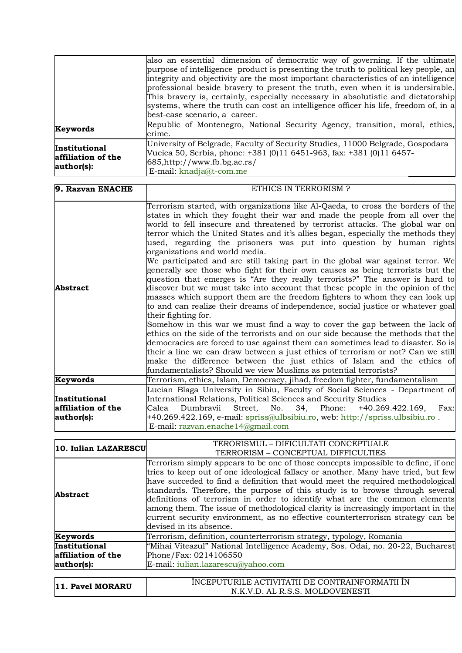|                                                   | also an essential dimension of democratic way of governing. If the ultimate          |
|---------------------------------------------------|--------------------------------------------------------------------------------------|
|                                                   | purpose of intelligence product is presenting the truth to political key people, an  |
|                                                   | integrity and objectivity are the most important characteristics of an intelligence  |
|                                                   | professional beside bravery to present the truth, even when it is undersirable.      |
|                                                   | This bravery is, certainly, especially necessary in absolutistic and dictatorship    |
|                                                   | systems, where the truth can cost an intelligence officer his life, freedom of, in a |
|                                                   | best-case scenario, a career.                                                        |
| Keywords                                          | Republic of Montenegro, National Security Agency, transition, moral, ethics,         |
|                                                   | crime.                                                                               |
| Institutional<br>affiliation of the<br>author(s): | University of Belgrade, Faculty of Security Studies, 11000 Belgrade, Gospodara       |
|                                                   | Vucica 50, Serbia, phone: +381 (0)11 6451-963, fax: +381 (0)11 6457-                 |
|                                                   | $685$ , http://www.fb.bg.ac.rs/                                                      |
|                                                   | E-mail: knadja@t-com.me                                                              |

| 9. Razvan ENACHE                                  | ETHICS IN TERRORISM ?                                                                                                                                                                                                                                                                                                                                                                                                                                                                                                                                                                                                                                                                                                                                                                                                                                                                                                                                                                                                                                                                                                                                                                                                                                                                                                                                                                                                                                                    |
|---------------------------------------------------|--------------------------------------------------------------------------------------------------------------------------------------------------------------------------------------------------------------------------------------------------------------------------------------------------------------------------------------------------------------------------------------------------------------------------------------------------------------------------------------------------------------------------------------------------------------------------------------------------------------------------------------------------------------------------------------------------------------------------------------------------------------------------------------------------------------------------------------------------------------------------------------------------------------------------------------------------------------------------------------------------------------------------------------------------------------------------------------------------------------------------------------------------------------------------------------------------------------------------------------------------------------------------------------------------------------------------------------------------------------------------------------------------------------------------------------------------------------------------|
| Abstract                                          | Terrorism started, with organizations like Al-Qaeda, to cross the borders of the<br>states in which they fought their war and made the people from all over the<br>world to fell insecure and threatened by terrorist attacks. The global war on<br>terror which the United States and it's allies began, especially the methods they<br>used, regarding the prisoners was put into question by human rights<br>organizations and world media.<br>We participated and are still taking part in the global war against terror. We<br>generally see those who fight for their own causes as being terrorists but the<br>question that emerges is "Are they really terrorists?" The answer is hard to<br>discover but we must take into account that these people in the opinion of the<br>masses which support them are the freedom fighters to whom they can look up<br>to and can realize their dreams of independence, social justice or whatever goal<br>their fighting for.<br>Somehow in this war we must find a way to cover the gap between the lack of<br>ethics on the side of the terrorists and on our side because the methods that the<br>democracies are forced to use against them can sometimes lead to disaster. So is<br>their a line we can draw between a just ethics of terrorism or not? Can we still<br>make the difference between the just ethics of Islam and the ethics of<br>fundamentalists? Should we view Muslims as potential terrorists? |
| Keywords                                          | Terrorism, ethics, Islam, Democracy, jihad, freedom fighter, fundamentalism                                                                                                                                                                                                                                                                                                                                                                                                                                                                                                                                                                                                                                                                                                                                                                                                                                                                                                                                                                                                                                                                                                                                                                                                                                                                                                                                                                                              |
| Institutional<br>affiliation of the<br>author(s): | Lucian Blaga University in Sibiu, Faculty of Social Sciences - Department of<br>International Relations, Political Sciences and Security Studies<br>Dumbravii Street,<br>No. 34, Phone: +40.269.422.169, Fax:<br>Calea<br>+40.269.422.169, e-mail: spriss@ulbsibiu.ro, web: http://spriss.ulbsibiu.ro.<br>E-mail: razvan.enache14@gmail.com                                                                                                                                                                                                                                                                                                                                                                                                                                                                                                                                                                                                                                                                                                                                                                                                                                                                                                                                                                                                                                                                                                                              |

| 10. Iulian LAZARESCU | TERORISMUL - DIFICULTATI CONCEPTUALE                                              |
|----------------------|-----------------------------------------------------------------------------------|
|                      | TERRORISM - CONCEPTUAL DIFFICULTIES                                               |
|                      | Terrorism simply appears to be one of those concepts impossible to define, if one |
|                      | tries to keep out of one ideological fallacy or another. Many have tried, but few |
|                      | have succeded to find a definition that would meet the required methodological    |
| <b>Abstract</b>      | standards. Therefore, the purpose of this study is to browse through several      |
|                      | definitions of terrorism in order to identify what are the common elements        |
|                      | among them. The issue of methodological clarity is increasingly important in the  |
|                      | current security environment, as no effective counterterrorism strategy can be    |
|                      | devised in its absence.                                                           |
| Keywords             | Terrorism, definition, counterterrorism strategy, typology, Romania               |
| Institutional        | "Mihai Viteazul" National Intelligence Academy, Sos. Odai, no. 20-22, Bucharest   |
| affiliation of the   | Phone/Fax: 0214106550                                                             |
| author(s):           | E-mail: iulian.lazarescu@yahoo.com                                                |
|                      |                                                                                   |
| 11. Pavel MORARU     | ÎNCEPUTURILE ACTIVITATII DE CONTRAINFORMATII ÎN                                   |
|                      | N.K.V.D. AL R.S.S. MOLDOVENESTI                                                   |

| 11. Pavel MORARU | ÎNCEPUTURILE ACTIVITATII DE CONTRAINFORMATII ÎN |
|------------------|-------------------------------------------------|
|                  | N.K.V.D. AL R.S.S. MOLDOVENESTI                 |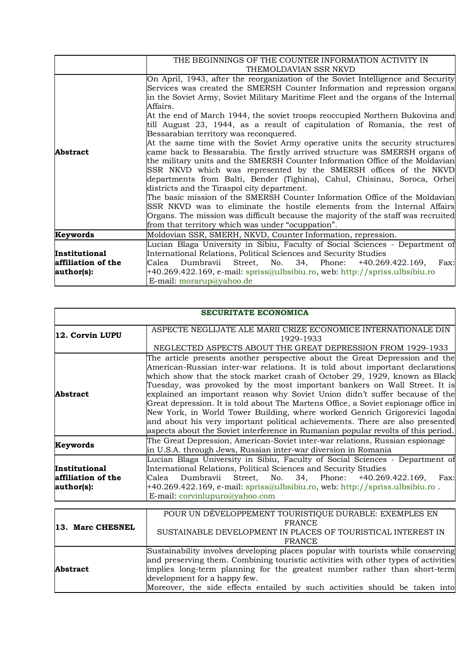|                    | THE BEGINNINGS OF THE COUNTER INFORMATION ACTIVITY IN                             |
|--------------------|-----------------------------------------------------------------------------------|
|                    | THEMOLDAVIAN SSR NKVD                                                             |
|                    | On April, 1943, after the reorganization of the Soviet Intelligence and Security  |
|                    | Services was created the SMERSH Counter Information and repression organs         |
|                    | in the Soviet Army, Soviet Military Maritime Fleet and the organs of the Internal |
|                    | Affairs.                                                                          |
|                    | At the end of March 1944, the soviet troops reoccupied Northern Bukovina and      |
|                    | till August 23, 1944, as a result of capitulation of Romania, the rest of         |
|                    | Bessarabian territory was reconquered.                                            |
|                    | At the same time with the Soviet Army operative units the security structures     |
| Abstract           | came back to Bessarabia. The firstly arrived structure was SMERSH organs of       |
|                    | the military units and the SMERSH Counter Information Office of the Moldavian     |
|                    | SSR NKVD which was represented by the SMERSH offices of the NKVD                  |
|                    | departments from Balti, Bender (Tighina), Cahul, Chisinau, Soroca, Orhei          |
|                    | districts and the Tiraspol city department.                                       |
|                    | The basic mission of the SMERSH Counter Information Office of the Moldavian       |
|                    | SSR NKVD was to eliminate the hostile elements from the Internal Affairs          |
|                    | Organs. The mission was difficult because the majority of the staff was recruited |
|                    | from that territory which was under "ocuppation".                                 |
| Keywords           | Moldovian SSR, SMERH, NKVD, Counter Information, repression.                      |
|                    | Lucian Blaga University in Sibiu, Faculty of Social Sciences - Department of      |
| Institutional      | International Relations, Political Sciences and Security Studies                  |
| affiliation of the | Dumbravii Street, No. 34, Phone: +40.269.422.169,<br>Fax:<br>Calea                |
| author(s):         | +40.269.422.169, e-mail: spriss@ulbsibiu.ro, web: http://spriss.ulbsibiu.ro       |
|                    | E-mail: morarup@yahoo.de                                                          |

|                                                   | <b>SECURITATE ECONOMICA</b>                                                                                                                                                                                                                                                                                                                                                                                                                                                                                                                                                                                                                                                                                                                       |
|---------------------------------------------------|---------------------------------------------------------------------------------------------------------------------------------------------------------------------------------------------------------------------------------------------------------------------------------------------------------------------------------------------------------------------------------------------------------------------------------------------------------------------------------------------------------------------------------------------------------------------------------------------------------------------------------------------------------------------------------------------------------------------------------------------------|
| 12. Corvin LUPU                                   | ASPECTE NEGLIJATE ALE MARII CRIZE ECONOMICE INTERNATIONALE DIN<br>1929-1933<br>NEGLECTED ASPECTS ABOUT THE GREAT DEPRESSION FROM 1929-1933                                                                                                                                                                                                                                                                                                                                                                                                                                                                                                                                                                                                        |
| Abstract                                          | The article presents another perspective about the Great Depression and the<br>American-Russian inter-war relations. It is told about important declarations<br>which show that the stock market crash of October 29, 1929, known as Black<br>Tuesday, was provoked by the most important bankers on Wall Street. It is<br>explained an important reason why Soviet Union didn't suffer because of the<br>Great depression. It is told about The Martens Office, a Soviet espionage office in<br>New York, in World Tower Building, where worked Genrich Grigorevici Iagoda<br>and about his very important political achievements. There are also presented<br>aspects about the Soviet interference in Rumanian popular revolts of this period. |
| Keywords                                          | The Great Depression, American-Soviet inter-war relations, Russian espionage<br>in U.S.A. through Jews, Russian inter-war diversion in Romania                                                                                                                                                                                                                                                                                                                                                                                                                                                                                                                                                                                                    |
| Institutional<br>affiliation of the<br>author(s): | Lucian Blaga University in Sibiu, Faculty of Social Sciences - Department of<br>International Relations, Political Sciences and Security Studies<br>Dumbravii Street, No. 34, Phone: +40.269.422.169,<br>Calea<br>Fax:<br>+40.269.422.169, e-mail: spriss@ulbsibiu.ro, web: http://spriss.ulbsibiu.ro.<br>E-mail: corvinlupuro@yahoo.com                                                                                                                                                                                                                                                                                                                                                                                                          |

| 13. Marc CHESNEL | POUR UN DÉVELOPPEMENT TOURISTIQUE DURABLE: EXEMPLES EN<br><b>FRANCE</b><br>SUSTAINABLE DEVELOPMENT IN PLACES OF TOURISTICAL INTEREST IN<br><b>FRANCE</b>                                                                                                                                                                                                           |
|------------------|--------------------------------------------------------------------------------------------------------------------------------------------------------------------------------------------------------------------------------------------------------------------------------------------------------------------------------------------------------------------|
| <b>Abstract</b>  | Sustainability involves developing places popular with tourists while conserving<br>and preserving them. Combining touristic activities with other types of activities<br>implies long-term planning for the greatest number rather than short-term<br>development for a happy few.<br>Moreover, the side effects entailed by such activities should be taken into |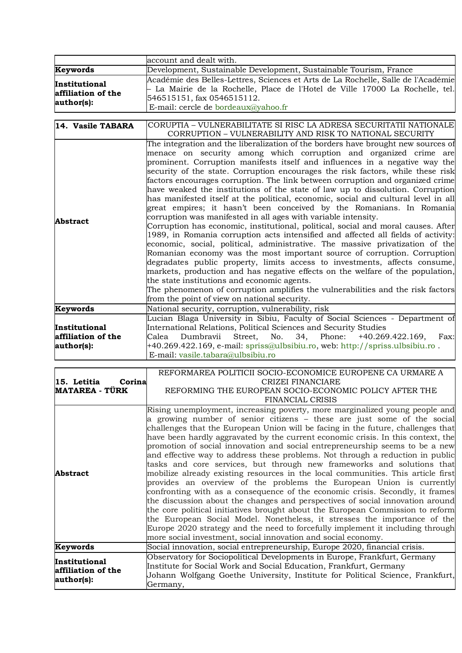|                                                   | account and dealt with.                                                                                                                                                                                                                                                                                                                                                                                                                                                                                                                                                                                                                                                                                                                                                                                                                                                                                                                                                                                                                                                                                                                                                                                                                                                                                                                                                                                               |  |  |  |  |  |
|---------------------------------------------------|-----------------------------------------------------------------------------------------------------------------------------------------------------------------------------------------------------------------------------------------------------------------------------------------------------------------------------------------------------------------------------------------------------------------------------------------------------------------------------------------------------------------------------------------------------------------------------------------------------------------------------------------------------------------------------------------------------------------------------------------------------------------------------------------------------------------------------------------------------------------------------------------------------------------------------------------------------------------------------------------------------------------------------------------------------------------------------------------------------------------------------------------------------------------------------------------------------------------------------------------------------------------------------------------------------------------------------------------------------------------------------------------------------------------------|--|--|--|--|--|
| Keywords                                          | Development, Sustainable Development, Sustainable Tourism, France                                                                                                                                                                                                                                                                                                                                                                                                                                                                                                                                                                                                                                                                                                                                                                                                                                                                                                                                                                                                                                                                                                                                                                                                                                                                                                                                                     |  |  |  |  |  |
|                                                   | Académie des Belles-Lettres, Sciences et Arts de La Rochelle, Salle de l'Académie                                                                                                                                                                                                                                                                                                                                                                                                                                                                                                                                                                                                                                                                                                                                                                                                                                                                                                                                                                                                                                                                                                                                                                                                                                                                                                                                     |  |  |  |  |  |
| Institutional                                     | La Mairie de la Rochelle, Place de l'Hotel de Ville 17000 La Rochelle, tel.                                                                                                                                                                                                                                                                                                                                                                                                                                                                                                                                                                                                                                                                                                                                                                                                                                                                                                                                                                                                                                                                                                                                                                                                                                                                                                                                           |  |  |  |  |  |
| affiliation of the                                | 546515151, fax 0546515112.                                                                                                                                                                                                                                                                                                                                                                                                                                                                                                                                                                                                                                                                                                                                                                                                                                                                                                                                                                                                                                                                                                                                                                                                                                                                                                                                                                                            |  |  |  |  |  |
| author(s):                                        | E-mail: cercle de bordeaux@yahoo.fr                                                                                                                                                                                                                                                                                                                                                                                                                                                                                                                                                                                                                                                                                                                                                                                                                                                                                                                                                                                                                                                                                                                                                                                                                                                                                                                                                                                   |  |  |  |  |  |
|                                                   |                                                                                                                                                                                                                                                                                                                                                                                                                                                                                                                                                                                                                                                                                                                                                                                                                                                                                                                                                                                                                                                                                                                                                                                                                                                                                                                                                                                                                       |  |  |  |  |  |
| 14. Vasile TABARA                                 | CORUPTIA - VULNERABILITATE SI RISC LA ADRESA SECURITATII NATIONALE<br>CORRUPTION - VULNERABILITY AND RISK TO NATIONAL SECURITY                                                                                                                                                                                                                                                                                                                                                                                                                                                                                                                                                                                                                                                                                                                                                                                                                                                                                                                                                                                                                                                                                                                                                                                                                                                                                        |  |  |  |  |  |
| <b>Abstract</b>                                   | The integration and the liberalization of the borders have brought new sources of<br>menace on security among which corruption and organized crime are<br>prominent. Corruption manifests itself and influences in a negative way the<br>security of the state. Corruption encourages the risk factors, while these risk<br>factors encourages corruption. The link between corruption and organized crime<br>have weaked the institutions of the state of law up to dissolution. Corruption<br>has manifested itself at the political, economic, social and cultural level in all<br>great empires; it hasn't been conceived by the Romanians. In Romania<br>corruption was manifested in all ages with variable intensity.<br>Corruption has economic, institutional, political, social and moral causes. After<br>1989, in Romania corruption acts intensified and affected all fields of activity:<br>economic, social, political, administrative. The massive privatization of the<br>Romanian economy was the most important source of corruption. Corruption<br>degradates public property, limits access to investments, affects consume,<br>markets, production and has negative effects on the welfare of the population,<br>the state institutions and economic agents.<br>The phenomenon of corruption amplifies the vulnerabilities and the risk factors<br>from the point of view on national security. |  |  |  |  |  |
|                                                   |                                                                                                                                                                                                                                                                                                                                                                                                                                                                                                                                                                                                                                                                                                                                                                                                                                                                                                                                                                                                                                                                                                                                                                                                                                                                                                                                                                                                                       |  |  |  |  |  |
| Keywords                                          | National security, corruption, vulnerability, risk                                                                                                                                                                                                                                                                                                                                                                                                                                                                                                                                                                                                                                                                                                                                                                                                                                                                                                                                                                                                                                                                                                                                                                                                                                                                                                                                                                    |  |  |  |  |  |
| Institutional<br>affiliation of the<br>author(s): | Lucian Blaga University in Sibiu, Faculty of Social Sciences - Department of<br>International Relations, Political Sciences and Security Studies<br>Street,<br>No.<br>34, Phone:<br>$+40.269.422.169,$<br>Calea<br>Dumbravii<br>Fax:<br>+40.269.422.169, e-mail: spriss@ulbsibiu.ro, web: http://spriss.ulbsibiu.ro.<br>E-mail: vasile.tabara@ulbsibiu.ro                                                                                                                                                                                                                                                                                                                                                                                                                                                                                                                                                                                                                                                                                                                                                                                                                                                                                                                                                                                                                                                             |  |  |  |  |  |
|                                                   | REFORMAREA POLITICII SOCIO-ECONOMICE EUROPENE CA URMARE A                                                                                                                                                                                                                                                                                                                                                                                                                                                                                                                                                                                                                                                                                                                                                                                                                                                                                                                                                                                                                                                                                                                                                                                                                                                                                                                                                             |  |  |  |  |  |
| 15. Letitia<br>Corina<br><b>MATAREA - TÜRK</b>    | CRIZEI FINANCIARE<br>REFORMING THE EUROPEAN SOCIO-ECONOMIC POLICY AFTER THE<br><b>FINANCIAL CRISIS</b>                                                                                                                                                                                                                                                                                                                                                                                                                                                                                                                                                                                                                                                                                                                                                                                                                                                                                                                                                                                                                                                                                                                                                                                                                                                                                                                |  |  |  |  |  |
| <b>Abstract</b>                                   | Rising unemployment, increasing poverty, more marginalized young people and<br>a growing number of senior citizens – these are just some of the social<br>challenges that the European Union will be facing in the future, challenges that<br>have been hardly aggravated by the current economic crisis. In this context, the<br>promotion of social innovation and social entrepreneurship seems to be a new<br>and effective way to address these problems. Not through a reduction in public<br>tasks and core services, but through new frameworks and solutions that<br>mobilize already existing resources in the local communities. This article first<br>provides an overview of the problems the European Union is currently<br>confronting with as a consequence of the economic crisis. Secondly, it frames<br>the discussion about the changes and perspectives of social innovation around<br>the core political initiatives brought about the European Commission to reform<br>the European Social Model. Nonetheless, it stresses the importance of the<br>Europe 2020 strategy and the need to forcefully implement it including through<br>more social investment, social innovation and social economy.                                                                                                                                                                                            |  |  |  |  |  |
| Keywords                                          | Social innovation, social entrepreneurship, Europe 2020, financial crisis.                                                                                                                                                                                                                                                                                                                                                                                                                                                                                                                                                                                                                                                                                                                                                                                                                                                                                                                                                                                                                                                                                                                                                                                                                                                                                                                                            |  |  |  |  |  |
| Institutional<br>affiliation of the<br>author(s): | Observatory for Sociopolitical Developments in Europe, Frankfurt, Germany<br>Institute for Social Work and Social Education, Frankfurt, Germany<br>Johann Wolfgang Goethe University, Institute for Political Science, Frankfurt,<br>Germany,                                                                                                                                                                                                                                                                                                                                                                                                                                                                                                                                                                                                                                                                                                                                                                                                                                                                                                                                                                                                                                                                                                                                                                         |  |  |  |  |  |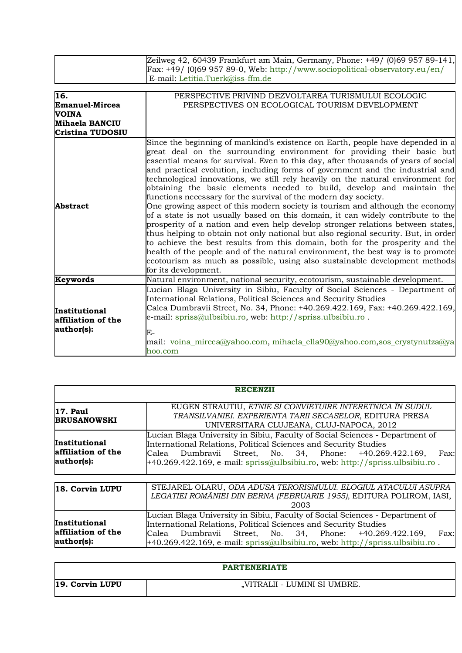| Zeilweg 42, 60439 Frankfurt am Main, Germany, Phone: $+49/$ (0)69 957 89-141, |
|-------------------------------------------------------------------------------|
| Fax: $+49/$ (0)69 957 89-0, Web: http://www.sociopolitical-observatory.eu/en/ |
| $E$ -mail: Letitia.Tuerk@iss-ffm.de                                           |

| 16.                                               | PERSPECTIVE PRIVIND DEZVOLTAREA TURISMULUI ECOLOGIC                                                                                                                                                                                                                                                                                                                                                                                                                                                                                                                                                                                                                                                                                                                                                                                                                                                                                                                                                                                                                                                                                                                                     |
|---------------------------------------------------|-----------------------------------------------------------------------------------------------------------------------------------------------------------------------------------------------------------------------------------------------------------------------------------------------------------------------------------------------------------------------------------------------------------------------------------------------------------------------------------------------------------------------------------------------------------------------------------------------------------------------------------------------------------------------------------------------------------------------------------------------------------------------------------------------------------------------------------------------------------------------------------------------------------------------------------------------------------------------------------------------------------------------------------------------------------------------------------------------------------------------------------------------------------------------------------------|
| Emanuel-Mircea                                    | PERSPECTIVES ON ECOLOGICAL TOURISM DEVELOPMENT                                                                                                                                                                                                                                                                                                                                                                                                                                                                                                                                                                                                                                                                                                                                                                                                                                                                                                                                                                                                                                                                                                                                          |
| <b>VOINA</b>                                      |                                                                                                                                                                                                                                                                                                                                                                                                                                                                                                                                                                                                                                                                                                                                                                                                                                                                                                                                                                                                                                                                                                                                                                                         |
| <b>Mihaela BANCIU</b>                             |                                                                                                                                                                                                                                                                                                                                                                                                                                                                                                                                                                                                                                                                                                                                                                                                                                                                                                                                                                                                                                                                                                                                                                                         |
| <b>Cristina TUDOSIU</b>                           |                                                                                                                                                                                                                                                                                                                                                                                                                                                                                                                                                                                                                                                                                                                                                                                                                                                                                                                                                                                                                                                                                                                                                                                         |
| <b>Abstract</b>                                   | Since the beginning of mankind's existence on Earth, people have depended in a<br>great deal on the surrounding environment for providing their basic but<br>essential means for survival. Even to this day, after thousands of years of social<br>and practical evolution, including forms of government and the industrial and<br>technological innovations, we still rely heavily on the natural environment for<br>obtaining the basic elements needed to build, develop and maintain the<br>functions necessary for the survival of the modern day society.<br>One growing aspect of this modern society is tourism and although the economy<br>of a state is not usually based on this domain, it can widely contribute to the<br>prosperity of a nation and even help develop stronger relations between states,<br>thus helping to obtain not only national but also regional security. But, in order<br>to achieve the best results from this domain, both for the prosperity and the<br>health of the people and of the natural environment, the best way is to promote<br>ecotourism as much as possible, using also sustainable development methods<br>for its development. |
| Keywords                                          | Natural environment, national security, ecotourism, sustainable development.                                                                                                                                                                                                                                                                                                                                                                                                                                                                                                                                                                                                                                                                                                                                                                                                                                                                                                                                                                                                                                                                                                            |
| Institutional<br>affiliation of the<br>author(s): | Lucian Blaga University in Sibiu, Faculty of Social Sciences - Department of<br>International Relations, Political Sciences and Security Studies<br>Calea Dumbravii Street, No. 34, Phone: +40.269.422.169, Fax: +40.269.422.169,<br>e-mail: spriss@ulbsibiu.ro, web: http://spriss.ulbsibiu.ro.<br>$E-$<br>mail: voina_mircea@yahoo.com, mihaela_ella90@yahoo.com,sos_crystynutza@ya                                                                                                                                                                                                                                                                                                                                                                                                                                                                                                                                                                                                                                                                                                                                                                                                   |
|                                                   | hoo.com                                                                                                                                                                                                                                                                                                                                                                                                                                                                                                                                                                                                                                                                                                                                                                                                                                                                                                                                                                                                                                                                                                                                                                                 |

| <b>RECENZII</b>                                   |                                                                                                                                                                                                                                                                                                        |  |  |  |  |
|---------------------------------------------------|--------------------------------------------------------------------------------------------------------------------------------------------------------------------------------------------------------------------------------------------------------------------------------------------------------|--|--|--|--|
| 17. Paul<br><b>BRUSANOWSKI</b>                    | EUGEN STRAUTIU, ETNIE SI CONVIETUIRE INTERETNICA ÎN SUDUL<br>TRANSILVANIEI. EXPERIENTA TARII SECASELOR, EDITURA PRESA<br>UNIVERSITARA CLUJEANA, CLUJ-NAPOCA, 2012                                                                                                                                      |  |  |  |  |
| Institutional<br>affiliation of the<br>author(s): | Lucian Blaga University in Sibiu, Faculty of Social Sciences - Department of<br>International Relations, Political Sciences and Security Studies<br>Calea Dumbravii Street, No. 34, Phone: +40.269.422.169,<br>Fax:<br>$+40.269.422.169$ , e-mail: spriss@ulbsibiu.ro, web: http://spriss.ulbsibiu.ro. |  |  |  |  |
| 18. Corvin LUPU                                   | STEJAREL OLARU, ODA ADUSA TERORISMULUI. ELOGIUL ATACULUI ASUPRA<br>LEGATIEI ROMÂNIEI DIN BERNA (FEBRUARIE 1955), EDITURA POLIROM, IASI,<br>2003                                                                                                                                                        |  |  |  |  |
| Institutional<br>affiliation of the<br>author(s): | Lucian Blaga University in Sibiu, Faculty of Social Sciences - Department of<br>International Relations, Political Sciences and Security Studies<br>Calea Dumbravii Street, No. 34, Phone: +40.269.422.169,<br>Fax:<br>+40.269.422.169, e-mail: spriss@ulbsibiu.ro, web: http://spriss.ulbsibiu.ro.    |  |  |  |  |

| <b>PARTENERIATE</b> |                               |  |  |  |  |
|---------------------|-------------------------------|--|--|--|--|
| $ 19.$ Corvin LUPU  | , VITRALII - LUMINI SI UMBRE. |  |  |  |  |